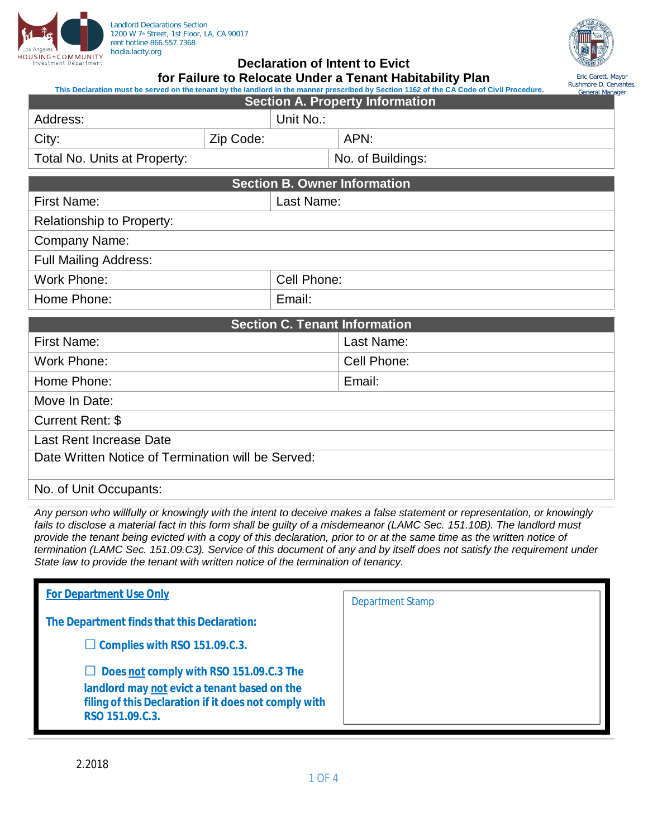



## **Declaration of Intent to Evict**

|                                                                                                                                           | for Failure to Relocate Under a Tenant Habitability Plan |  |
|-------------------------------------------------------------------------------------------------------------------------------------------|----------------------------------------------------------|--|
| This Declaration must be served on the tenant by the landlord in the manner prescribed by Section 1162 of the CA Code of Civil Procedure. |                                                          |  |

**Section A. Property Information** Address: Unit No.: City:  $\vert$  Zip Code:  $\vert$  APN: Total No. Units at Property:  $\vert$  No. of Buildings: **Section B. Owner Information** First Name: Last Name: Relationship to Property: Company Name: Full Mailing Address: Work Phone:  $\blacksquare$  Cell Phone: Home Phone: Email: **Section C. Tenant Information** First Name: Last Name: Work Phone: Cell Phone: Cell Phone: Cell Phone: Home Phone: Email: Email: Move In Date: Current Rent: \$ Last Rent Increase Date Date Written Notice of Termination will be Served: Eric Garett, Mayor Rushmore D. Cervantes, General Manager

## No. of Unit Occupants:

*Any person who willfully or knowingly with the intent to deceive makes a false statement or representation, or knowingly fails to disclose a material fact in this form shall be guilty of a misdemeanor (LAMC Sec. 151.10B). The landlord must provide the tenant being evicted with a copy of this declaration, prior to or at the same time as the written notice of termination (LAMC Sec. 151.09.C3). Service of this document of any and by itself does not satisfy the requirement under State law to provide the tenant with written notice of the termination of tenancy.*

| <b>For Department Use Only</b>                                                                                           | <b>Department Stamp</b> |
|--------------------------------------------------------------------------------------------------------------------------|-------------------------|
| The Department finds that this Declaration:                                                                              |                         |
| $\Box$ Complies with RSO 151.09.C.3.                                                                                     |                         |
| Does not comply with RSO 151.09.C.3 The                                                                                  |                         |
| landlord may not evict a tenant based on the<br>filing of this Declaration if it does not comply with<br>RSO 151.09.C.3. |                         |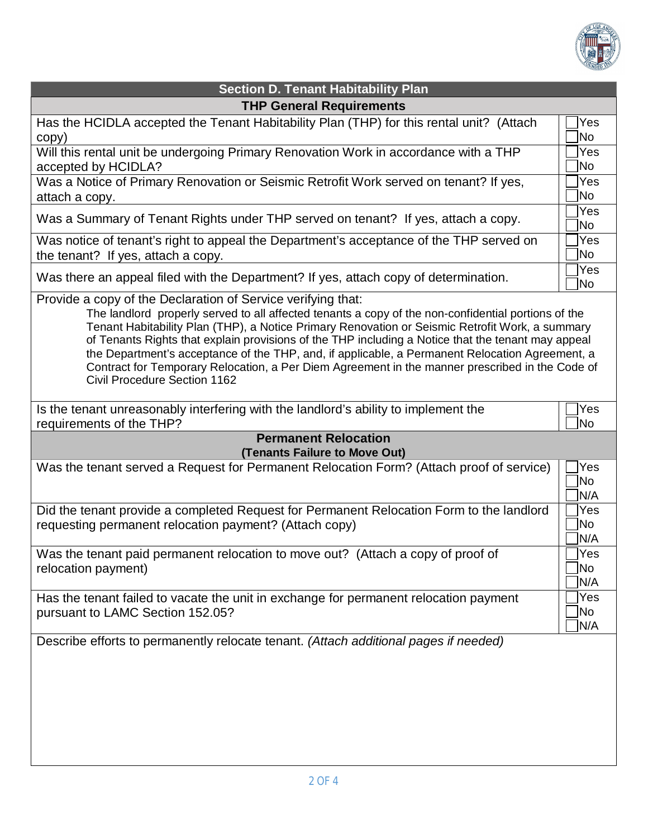

| <b>Section D. Tenant Habitability Plan</b>                                                                                                                                                                                                                                                                                                                                                                                                                                                                                                                                                                         |                                |  |  |  |
|--------------------------------------------------------------------------------------------------------------------------------------------------------------------------------------------------------------------------------------------------------------------------------------------------------------------------------------------------------------------------------------------------------------------------------------------------------------------------------------------------------------------------------------------------------------------------------------------------------------------|--------------------------------|--|--|--|
| <b>THP General Requirements</b>                                                                                                                                                                                                                                                                                                                                                                                                                                                                                                                                                                                    |                                |  |  |  |
| Has the HCIDLA accepted the Tenant Habitability Plan (THP) for this rental unit? (Attach<br>copy)                                                                                                                                                                                                                                                                                                                                                                                                                                                                                                                  | Yes<br>No.                     |  |  |  |
| Will this rental unit be undergoing Primary Renovation Work in accordance with a THP<br>accepted by HCIDLA?                                                                                                                                                                                                                                                                                                                                                                                                                                                                                                        | Yes<br><b>No</b>               |  |  |  |
| Was a Notice of Primary Renovation or Seismic Retrofit Work served on tenant? If yes,<br>attach a copy.                                                                                                                                                                                                                                                                                                                                                                                                                                                                                                            | Yes<br>No                      |  |  |  |
| Was a Summary of Tenant Rights under THP served on tenant? If yes, attach a copy.                                                                                                                                                                                                                                                                                                                                                                                                                                                                                                                                  | Yes<br>No.                     |  |  |  |
| Was notice of tenant's right to appeal the Department's acceptance of the THP served on<br>the tenant? If yes, attach a copy.                                                                                                                                                                                                                                                                                                                                                                                                                                                                                      | Yes<br><b>No</b>               |  |  |  |
| Was there an appeal filed with the Department? If yes, attach copy of determination.                                                                                                                                                                                                                                                                                                                                                                                                                                                                                                                               | Yes<br><b>No</b>               |  |  |  |
| Provide a copy of the Declaration of Service verifying that:<br>The landlord properly served to all affected tenants a copy of the non-confidential portions of the<br>Tenant Habitability Plan (THP), a Notice Primary Renovation or Seismic Retrofit Work, a summary<br>of Tenants Rights that explain provisions of the THP including a Notice that the tenant may appeal<br>the Department's acceptance of the THP, and, if applicable, a Permanent Relocation Agreement, a<br>Contract for Temporary Relocation, a Per Diem Agreement in the manner prescribed in the Code of<br>Civil Procedure Section 1162 |                                |  |  |  |
| Is the tenant unreasonably interfering with the landlord's ability to implement the<br>requirements of the THP?                                                                                                                                                                                                                                                                                                                                                                                                                                                                                                    | Yes<br><b>No</b>               |  |  |  |
| <b>Permanent Relocation</b>                                                                                                                                                                                                                                                                                                                                                                                                                                                                                                                                                                                        |                                |  |  |  |
| (Tenants Failure to Move Out)                                                                                                                                                                                                                                                                                                                                                                                                                                                                                                                                                                                      | Yes                            |  |  |  |
| Was the tenant served a Request for Permanent Relocation Form? (Attach proof of service)                                                                                                                                                                                                                                                                                                                                                                                                                                                                                                                           | No.<br>N/A                     |  |  |  |
| Did the tenant provide a completed Request for Permanent Relocation Form to the landlord<br>requesting permanent relocation payment? (Attach copy)                                                                                                                                                                                                                                                                                                                                                                                                                                                                 | <b>Yes</b><br><b>No</b><br>N/A |  |  |  |
| Was the tenant paid permanent relocation to move out? (Attach a copy of proof of<br>relocation payment)                                                                                                                                                                                                                                                                                                                                                                                                                                                                                                            | Yes<br>No<br>N/A               |  |  |  |
| Has the tenant failed to vacate the unit in exchange for permanent relocation payment<br>pursuant to LAMC Section 152.05?                                                                                                                                                                                                                                                                                                                                                                                                                                                                                          | Yes<br>No<br>N/A               |  |  |  |
| Describe efforts to permanently relocate tenant. (Attach additional pages if needed)                                                                                                                                                                                                                                                                                                                                                                                                                                                                                                                               |                                |  |  |  |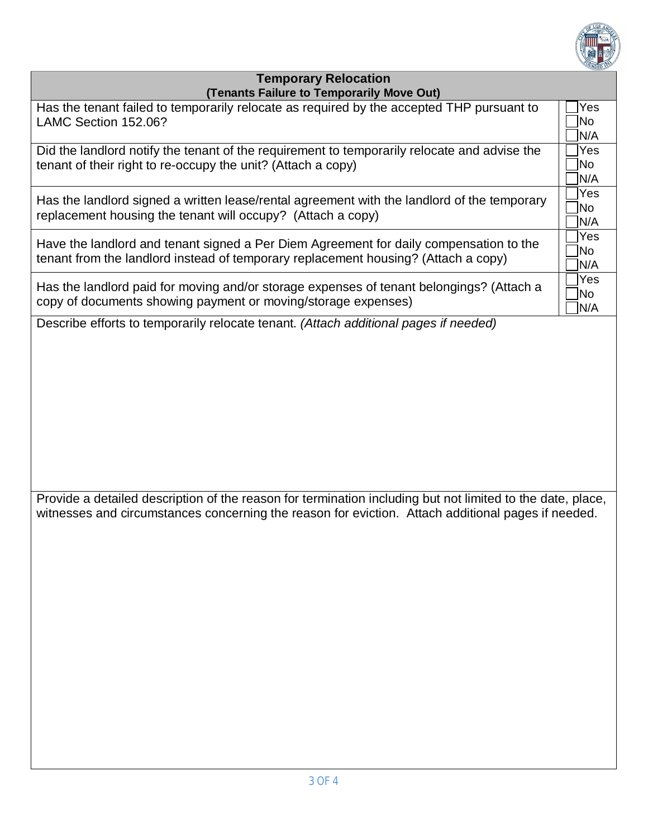

## **Temporary Relocation (Tenants Failure to Temporarily Move Out)**

| $\mu$ chants range to remporarily move Out) |  |  |  |
|---------------------------------------------|--|--|--|
| Yes<br> No<br>N/A                           |  |  |  |
| Yes<br> No<br>N/A                           |  |  |  |
| Yes<br>No<br>N/A                            |  |  |  |
| Yes<br>No<br>N/A                            |  |  |  |
| Yes<br>No<br>N/A                            |  |  |  |
|                                             |  |  |  |
|                                             |  |  |  |

Provide a detailed description of the reason for termination including but not limited to the date, place, witnesses and circumstances concerning the reason for eviction. Attach additional pages if needed.